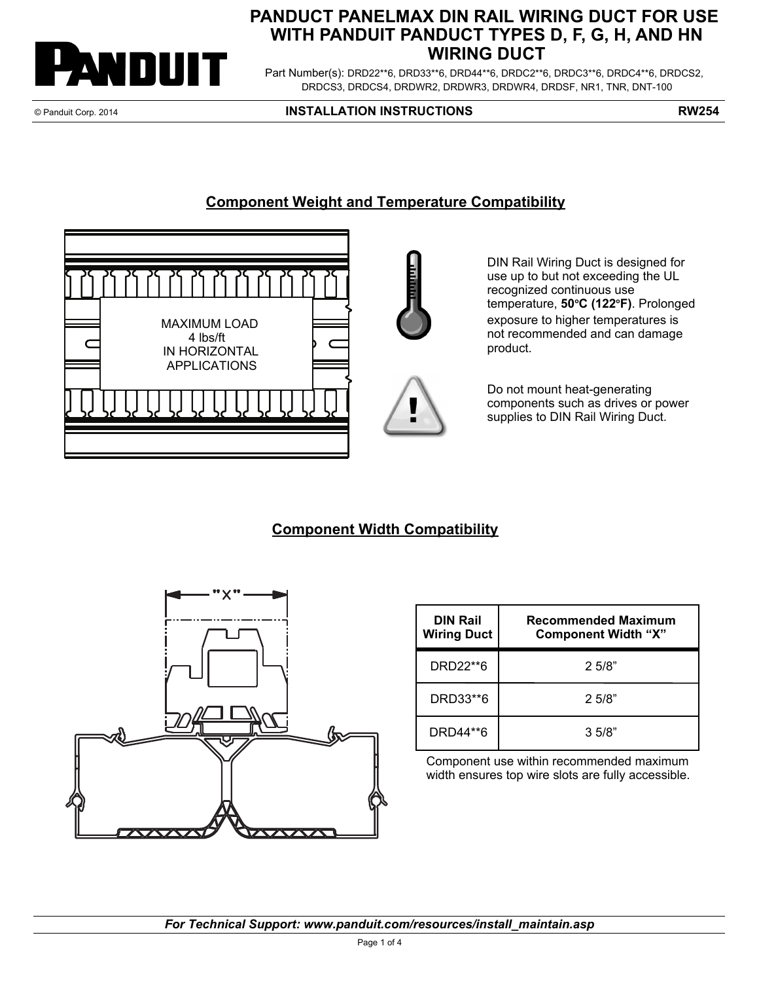

## **PANDUCT PANELMAX DIN RAIL WIRING DUCT FOR USE WITH PANDUIT PANDUCT TYPES D, F, G, H, AND HN WIRING DUCT**

Part Number(s): DRD22\*\*6, DRD33\*\*6, DRD44\*\*6, DRDC2\*\*6, DRDC3\*\*6, DRDC4\*\*6, DRDCS2, DRDCS3, DRDCS4, DRDWR2, DRDWR3, DRDWR4, DRDSF, NR1, TNR, DNT-100

© Panduit Corp. 2014 **INSTALLATION INSTRUCTIONS RW254**

## **Component Weight and Temperature Compatibility**



DIN Rail Wiring Duct is designed for use up to but not exceeding the UL recognized continuous use temperature, 50°C (122°F). Prolonged exposure to higher temperatures is not recommended and can damage product.

Do not mount heat-generating components such as drives or power supplies to DIN Rail Wiring Duct.

## **Component Width Compatibility**



| <b>DIN Rail</b><br><b>Wiring Duct</b> | Recommended Maximum<br><b>Component Width "X"</b> |
|---------------------------------------|---------------------------------------------------|
| DRD22**6                              | 2.5/8"                                            |
| DRD33**6                              | 2.5/8"                                            |
| DRD44**6                              | 3.5/8"                                            |

Component use within recommended maximum width ensures top wire slots are fully accessible.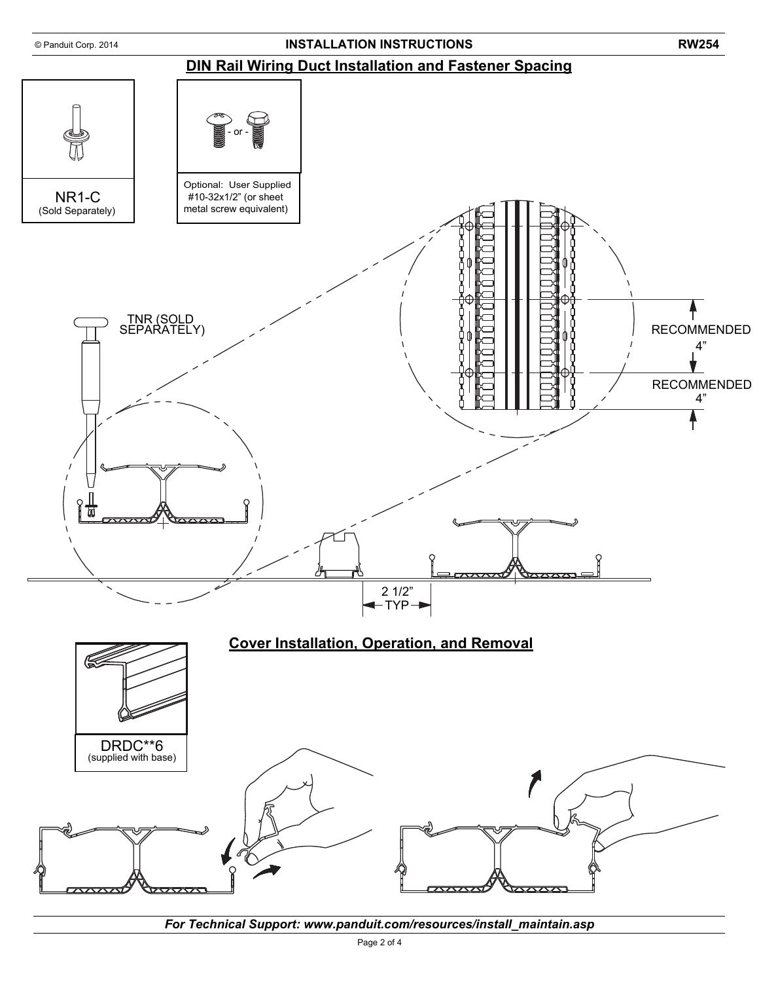

*For Technical Support: www.panduit.com/resources/install\_maintain.asp*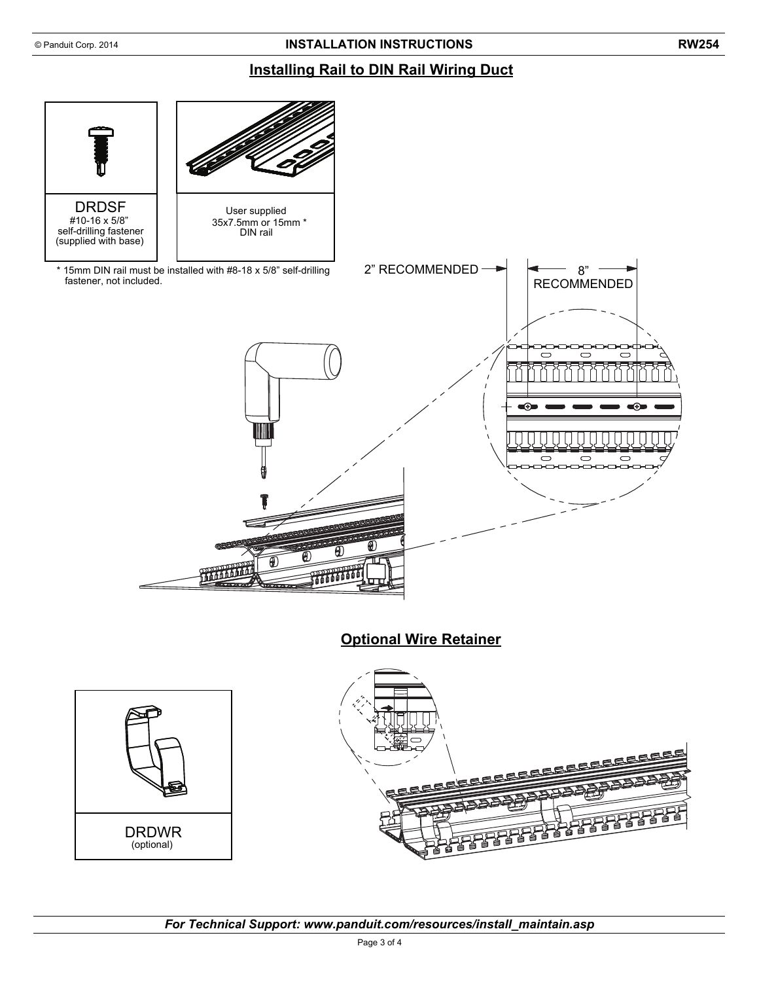## **Installing Rail to DIN Rail Wiring Duct**